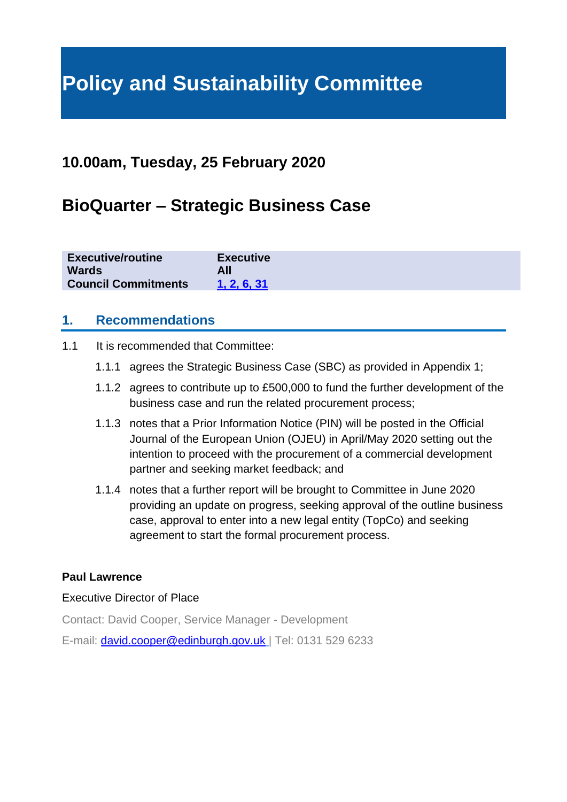# **Policy and Sustainability Committee**

# **10.00am, Tuesday, 25 February 2020**

# **BioQuarter – Strategic Business Case**

| <b>Executive/routine</b><br><b>Wards</b> | <b>Executive</b> |
|------------------------------------------|------------------|
| <b>Council Commitments</b>               | 1.2.6.31         |

#### **1. Recommendations**

- 1.1 It is recommended that Committee:
	- 1.1.1 agrees the Strategic Business Case (SBC) as provided in Appendix 1;
	- 1.1.2 agrees to contribute up to £500,000 to fund the further development of the business case and run the related procurement process;
	- 1.1.3 notes that a Prior Information Notice (PIN) will be posted in the Official Journal of the European Union (OJEU) in April/May 2020 setting out the intention to proceed with the procurement of a commercial development partner and seeking market feedback; and
	- 1.1.4 notes that a further report will be brought to Committee in June 2020 providing an update on progress, seeking approval of the outline business case, approval to enter into a new legal entity (TopCo) and seeking agreement to start the formal procurement process.

#### **Paul Lawrence**

#### Executive Director of Place

Contact: David Cooper, Service Manager - Development

E-mail: [david.cooper@edinburgh.gov.uk](mailto:david.cooper@edinburgh.gov.uk) | Tel: 0131 529 6233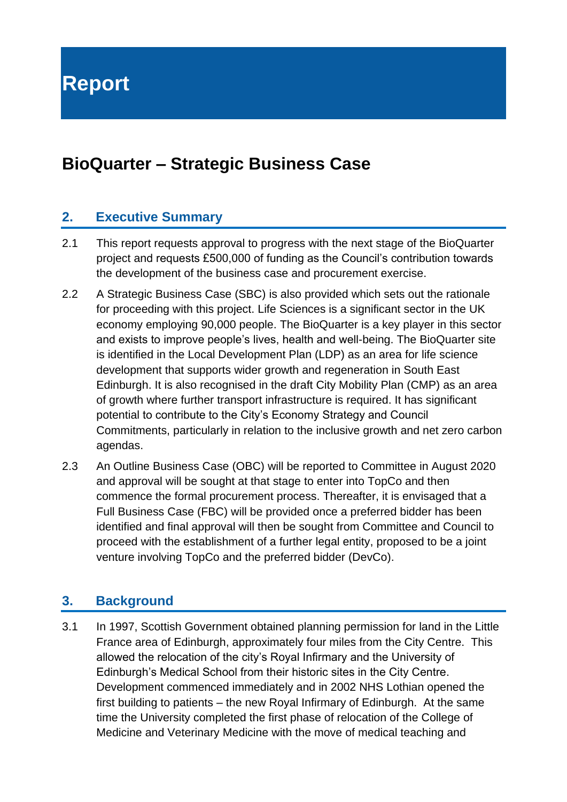**Report**

# **BioQuarter – Strategic Business Case**

# **2. Executive Summary**

- 2.1 This report requests approval to progress with the next stage of the BioQuarter project and requests £500,000 of funding as the Council's contribution towards the development of the business case and procurement exercise.
- 2.2 A Strategic Business Case (SBC) is also provided which sets out the rationale for proceeding with this project. Life Sciences is a significant sector in the UK economy employing 90,000 people. The BioQuarter is a key player in this sector and exists to improve people's lives, health and well-being. The BioQuarter site is identified in the Local Development Plan (LDP) as an area for life science development that supports wider growth and regeneration in South East Edinburgh. It is also recognised in the draft City Mobility Plan (CMP) as an area of growth where further transport infrastructure is required. It has significant potential to contribute to the City's Economy Strategy and Council Commitments, particularly in relation to the inclusive growth and net zero carbon agendas.
- 2.3 An Outline Business Case (OBC) will be reported to Committee in August 2020 and approval will be sought at that stage to enter into TopCo and then commence the formal procurement process. Thereafter, it is envisaged that a Full Business Case (FBC) will be provided once a preferred bidder has been identified and final approval will then be sought from Committee and Council to proceed with the establishment of a further legal entity, proposed to be a joint venture involving TopCo and the preferred bidder (DevCo).

## **3. Background**

3.1 In 1997, Scottish Government obtained planning permission for land in the Little France area of Edinburgh, approximately four miles from the City Centre. This allowed the relocation of the city's Royal Infirmary and the University of Edinburgh's Medical School from their historic sites in the City Centre. Development commenced immediately and in 2002 NHS Lothian opened the first building to patients – the new Royal Infirmary of Edinburgh. At the same time the University completed the first phase of relocation of the College of Medicine and Veterinary Medicine with the move of medical teaching and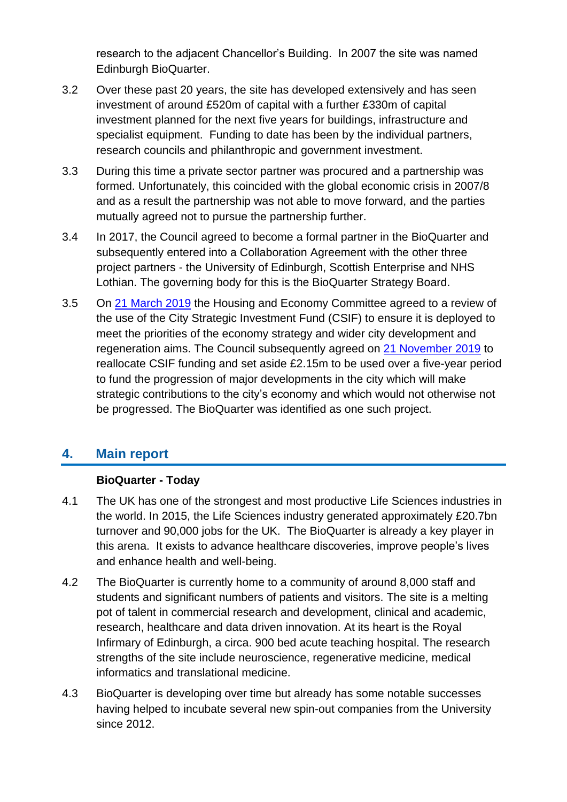research to the adjacent Chancellor's Building. In 2007 the site was named Edinburgh BioQuarter.

- 3.2 Over these past 20 years, the site has developed extensively and has seen investment of around £520m of capital with a further £330m of capital investment planned for the next five years for buildings, infrastructure and specialist equipment. Funding to date has been by the individual partners, research councils and philanthropic and government investment.
- 3.3 During this time a private sector partner was procured and a partnership was formed. Unfortunately, this coincided with the global economic crisis in 2007/8 and as a result the partnership was not able to move forward, and the parties mutually agreed not to pursue the partnership further.
- 3.4 In 2017, the Council agreed to become a formal partner in the BioQuarter and subsequently entered into a Collaboration Agreement with the other three project partners - the University of Edinburgh, Scottish Enterprise and NHS Lothian. The governing body for this is the BioQuarter Strategy Board.
- 3.5 On [21 March 2019](https://democracy.edinburgh.gov.uk/CeListDocuments.aspx?CommitteeId=287&MeetingId=4954&DF=21%2f03%2f2019&Ver=2) the Housing and Economy Committee agreed to a review of the use of the City Strategic Investment Fund (CSIF) to ensure it is deployed to meet the priorities of the economy strategy and wider city development and regeneration aims. The Council subsequently agreed on [21 November 2019](https://democracy.edinburgh.gov.uk/ieListDocuments.aspx?CId=150&MId=410&Ver=4) to reallocate CSIF funding and set aside £2.15m to be used over a five-year period to fund the progression of major developments in the city which will make strategic contributions to the city's economy and which would not otherwise not be progressed. The BioQuarter was identified as one such project.

## **4. Main report**

#### **BioQuarter - Today**

- 4.1 The UK has one of the strongest and most productive Life Sciences industries in the world. In 2015, the Life Sciences industry generated approximately £20.7bn turnover and 90,000 jobs for the UK. The BioQuarter is already a key player in this arena. It exists to advance healthcare discoveries, improve people's lives and enhance health and well-being.
- 4.2 The BioQuarter is currently home to a community of around 8,000 staff and students and significant numbers of patients and visitors. The site is a melting pot of talent in commercial research and development, clinical and academic, research, healthcare and data driven innovation. At its heart is the Royal Infirmary of Edinburgh, a circa. 900 bed acute teaching hospital. The research strengths of the site include neuroscience, regenerative medicine, medical informatics and translational medicine.
- 4.3 BioQuarter is developing over time but already has some notable successes having helped to incubate several new spin-out companies from the University since 2012.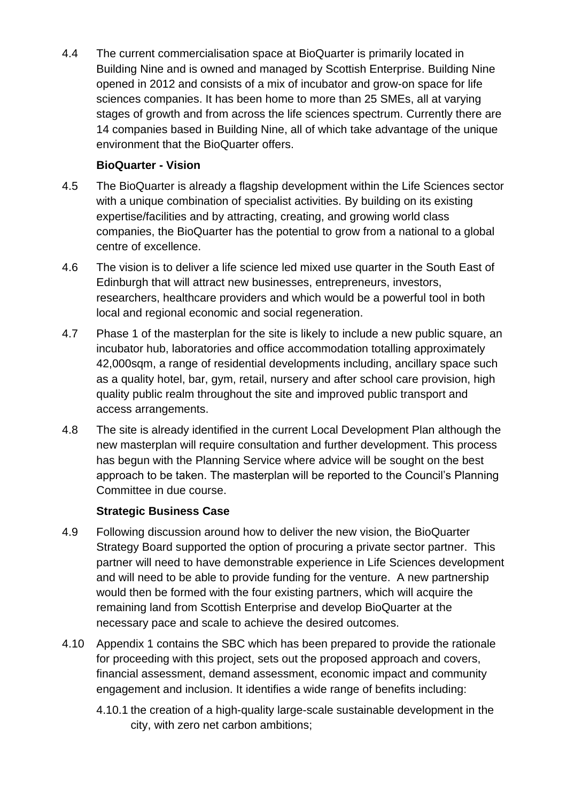4.4 The current commercialisation space at BioQuarter is primarily located in Building Nine and is owned and managed by Scottish Enterprise. Building Nine opened in 2012 and consists of a mix of incubator and grow-on space for life sciences companies. It has been home to more than 25 SMEs, all at varying stages of growth and from across the life sciences spectrum. Currently there are 14 companies based in Building Nine, all of which take advantage of the unique environment that the BioQuarter offers.

#### **BioQuarter - Vision**

- 4.5 The BioQuarter is already a flagship development within the Life Sciences sector with a unique combination of specialist activities. By building on its existing expertise/facilities and by attracting, creating, and growing world class companies, the BioQuarter has the potential to grow from a national to a global centre of excellence.
- 4.6 The vision is to deliver a life science led mixed use quarter in the South East of Edinburgh that will attract new businesses, entrepreneurs, investors, researchers, healthcare providers and which would be a powerful tool in both local and regional economic and social regeneration.
- 4.7 Phase 1 of the masterplan for the site is likely to include a new public square, an incubator hub, laboratories and office accommodation totalling approximately 42,000sqm, a range of residential developments including, ancillary space such as a quality hotel, bar, gym, retail, nursery and after school care provision, high quality public realm throughout the site and improved public transport and access arrangements.
- 4.8 The site is already identified in the current Local Development Plan although the new masterplan will require consultation and further development. This process has begun with the Planning Service where advice will be sought on the best approach to be taken. The masterplan will be reported to the Council's Planning Committee in due course.

#### **Strategic Business Case**

- 4.9 Following discussion around how to deliver the new vision, the BioQuarter Strategy Board supported the option of procuring a private sector partner. This partner will need to have demonstrable experience in Life Sciences development and will need to be able to provide funding for the venture. A new partnership would then be formed with the four existing partners, which will acquire the remaining land from Scottish Enterprise and develop BioQuarter at the necessary pace and scale to achieve the desired outcomes.
- 4.10 Appendix 1 contains the SBC which has been prepared to provide the rationale for proceeding with this project, sets out the proposed approach and covers, financial assessment, demand assessment, economic impact and community engagement and inclusion. It identifies a wide range of benefits including:
	- 4.10.1 the creation of a high-quality large-scale sustainable development in the city, with zero net carbon ambitions;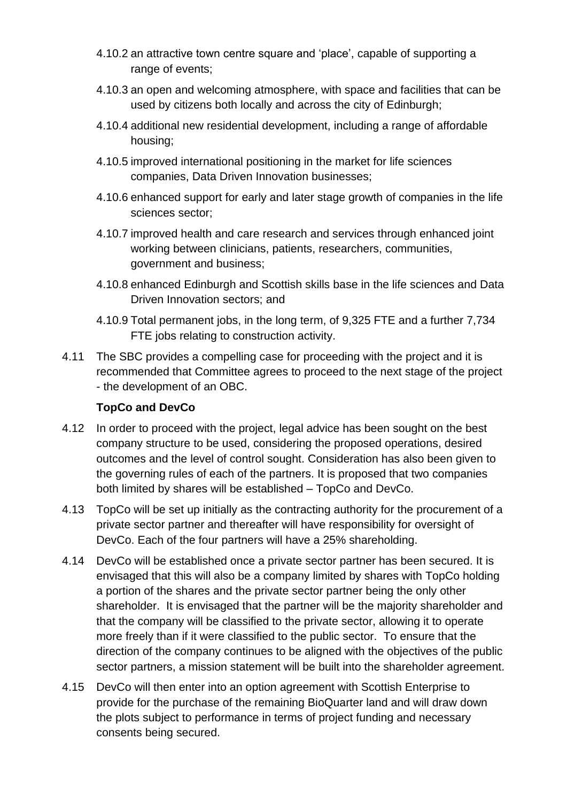- 4.10.2 an attractive town centre square and 'place', capable of supporting a range of events;
- 4.10.3 an open and welcoming atmosphere, with space and facilities that can be used by citizens both locally and across the city of Edinburgh;
- 4.10.4 additional new residential development, including a range of affordable housing;
- 4.10.5 improved international positioning in the market for life sciences companies, Data Driven Innovation businesses;
- 4.10.6 enhanced support for early and later stage growth of companies in the life sciences sector;
- 4.10.7 improved health and care research and services through enhanced joint working between clinicians, patients, researchers, communities, government and business;
- 4.10.8 enhanced Edinburgh and Scottish skills base in the life sciences and Data Driven Innovation sectors; and
- 4.10.9 Total permanent jobs, in the long term, of 9,325 FTE and a further 7,734 FTE jobs relating to construction activity.
- 4.11 The SBC provides a compelling case for proceeding with the project and it is recommended that Committee agrees to proceed to the next stage of the project - the development of an OBC.

#### **TopCo and DevCo**

- 4.12 In order to proceed with the project, legal advice has been sought on the best company structure to be used, considering the proposed operations, desired outcomes and the level of control sought. Consideration has also been given to the governing rules of each of the partners. It is proposed that two companies both limited by shares will be established – TopCo and DevCo.
- 4.13 TopCo will be set up initially as the contracting authority for the procurement of a private sector partner and thereafter will have responsibility for oversight of DevCo. Each of the four partners will have a 25% shareholding.
- 4.14 DevCo will be established once a private sector partner has been secured. It is envisaged that this will also be a company limited by shares with TopCo holding a portion of the shares and the private sector partner being the only other shareholder. It is envisaged that the partner will be the majority shareholder and that the company will be classified to the private sector, allowing it to operate more freely than if it were classified to the public sector. To ensure that the direction of the company continues to be aligned with the objectives of the public sector partners, a mission statement will be built into the shareholder agreement.
- 4.15 DevCo will then enter into an option agreement with Scottish Enterprise to provide for the purchase of the remaining BioQuarter land and will draw down the plots subject to performance in terms of project funding and necessary consents being secured.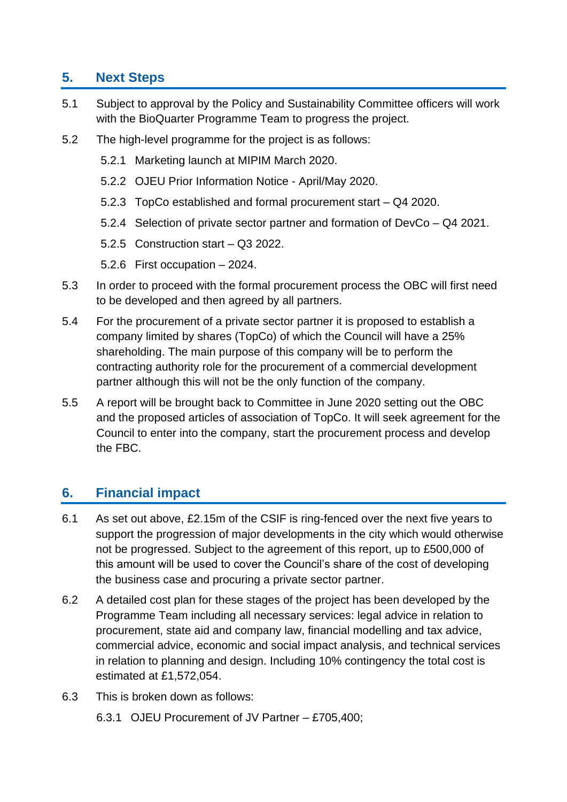# **5. Next Steps**

- 5.1 Subject to approval by the Policy and Sustainability Committee officers will work with the BioQuarter Programme Team to progress the project.
- 5.2 The high-level programme for the project is as follows:
	- 5.2.1 Marketing launch at MIPIM March 2020.
	- 5.2.2 OJEU Prior Information Notice April/May 2020.
	- 5.2.3 TopCo established and formal procurement start Q4 2020.
	- 5.2.4 Selection of private sector partner and formation of DevCo Q4 2021.
	- 5.2.5 Construction start Q3 2022.
	- 5.2.6 First occupation 2024.
- 5.3 In order to proceed with the formal procurement process the OBC will first need to be developed and then agreed by all partners.
- 5.4 For the procurement of a private sector partner it is proposed to establish a company limited by shares (TopCo) of which the Council will have a 25% shareholding. The main purpose of this company will be to perform the contracting authority role for the procurement of a commercial development partner although this will not be the only function of the company.
- 5.5 A report will be brought back to Committee in June 2020 setting out the OBC and the proposed articles of association of TopCo. It will seek agreement for the Council to enter into the company, start the procurement process and develop the FBC.

# **6. Financial impact**

- 6.1 As set out above, £2.15m of the CSIF is ring-fenced over the next five years to support the progression of major developments in the city which would otherwise not be progressed. Subject to the agreement of this report, up to £500,000 of this amount will be used to cover the Council's share of the cost of developing the business case and procuring a private sector partner.
- 6.2 A detailed cost plan for these stages of the project has been developed by the Programme Team including all necessary services: legal advice in relation to procurement, state aid and company law, financial modelling and tax advice, commercial advice, economic and social impact analysis, and technical services in relation to planning and design. Including 10% contingency the total cost is estimated at £1,572,054.
- 6.3 This is broken down as follows:
	- 6.3.1 OJEU Procurement of JV Partner £705,400;